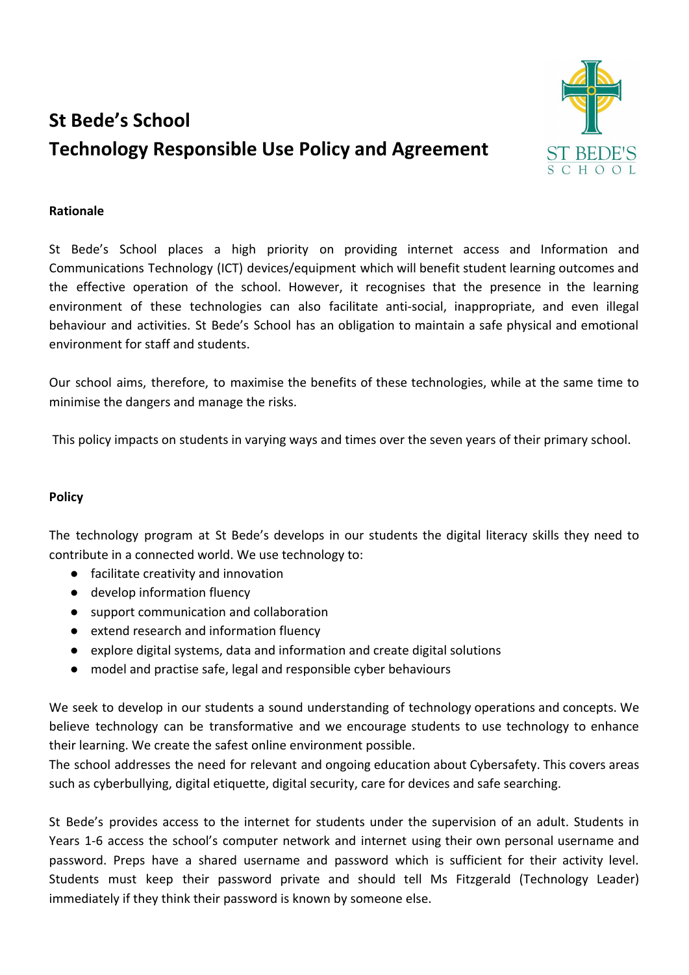# **St Bede's School Technology Responsible Use Policy and Agreement**



# **Rationale**

St Bede's School places a high priority on providing internet access and Information and Communications Technology (ICT) devices/equipment which will benefit student learning outcomes and the effective operation of the school. However, it recognises that the presence in the learning environment of these technologies can also facilitate anti-social, inappropriate, and even illegal behaviour and activities. St Bede's School has an obligation to maintain a safe physical and emotional environment for staff and students.

Our school aims, therefore, to maximise the benefits of these technologies, while at the same time to minimise the dangers and manage the risks.

This policy impacts on students in varying ways and times over the seven years of their primary school.

## **Policy**

The technology program at St Bede's develops in our students the digital literacy skills they need to contribute in a connected world. We use technology to:

- facilitate creativity and innovation
- develop information fluency
- support communication and collaboration
- extend research and information fluency
- explore digital systems, data and information and create digital solutions
- model and practise safe, legal and responsible cyber behaviours

We seek to develop in our students a sound understanding of technology operations and concepts. We believe technology can be transformative and we encourage students to use technology to enhance their learning. We create the safest online environment possible.

The school addresses the need for relevant and ongoing education about Cybersafety. This covers areas such as cyberbullying, digital etiquette, digital security, care for devices and safe searching.

St Bede's provides access to the internet for students under the supervision of an adult. Students in Years 1-6 access the school's computer network and internet using their own personal username and password. Preps have a shared username and password which is sufficient for their activity level. Students must keep their password private and should tell Ms Fitzgerald (Technology Leader) immediately if they think their password is known by someone else.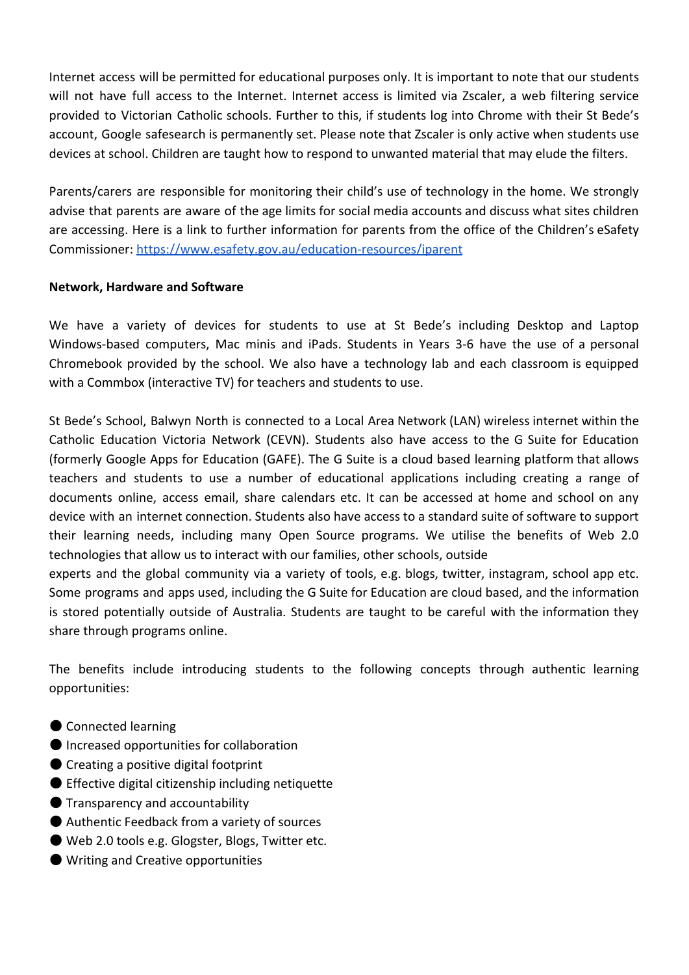Internet access will be permitted for educational purposes only. It is important to note that our students will not have full access to the Internet. Internet access is limited via Zscaler, a web filtering service provided to Victorian Catholic schools. Further to this, if students log into Chrome with their St Bede's account, Google safesearch is permanently set. Please note that Zscaler is only active when students use devices at school. Children are taught how to respond to unwanted material that may elude the filters.

Parents/carers are responsible for monitoring their child's use of technology in the home. We strongly advise that parents are aware of the age limits for social media accounts and discuss what sites children are accessing. Here is a link to further information for parents from the office of the Children's eSafety Commissioner:<https://www.esafety.gov.au/education-resources/iparent>

#### **Network, Hardware and Software**

We have a variety of devices for students to use at St Bede's including Desktop and Laptop Windows-based computers, Mac minis and iPads. Students in Years 3-6 have the use of a personal Chromebook provided by the school. We also have a technology lab and each classroom is equipped with a Commbox (interactive TV) for teachers and students to use.

St Bede's School, Balwyn North is connected to a Local Area Network (LAN) wireless internet within the Catholic Education Victoria Network (CEVN). Students also have access to the G Suite for Education (formerly Google Apps for Education (GAFE). The G Suite is a cloud based learning platform that allows teachers and students to use a number of educational applications including creating a range of documents online, access email, share calendars etc. It can be accessed at home and school on any device with an internet connection. Students also have access to a standard suite of software to support their learning needs, including many Open Source programs. We utilise the benefits of Web 2.0 technologies that allow us to interact with our families, other schools, outside

experts and the global community via a variety of tools, e.g. blogs, twitter, instagram, school app etc. Some programs and apps used, including the G Suite for Education are cloud based, and the information is stored potentially outside of Australia. Students are taught to be careful with the information they share through programs online.

The benefits include introducing students to the following concepts through authentic learning opportunities:

- Connected learning
- Increased opportunities for collaboration
- Creating a positive digital footprint
- Effective digital citizenship including netiquette
- Transparency and accountability
- Authentic Feedback from a variety of sources
- Web 2.0 tools e.g. Glogster, Blogs, Twitter etc.
- Writing and Creative opportunities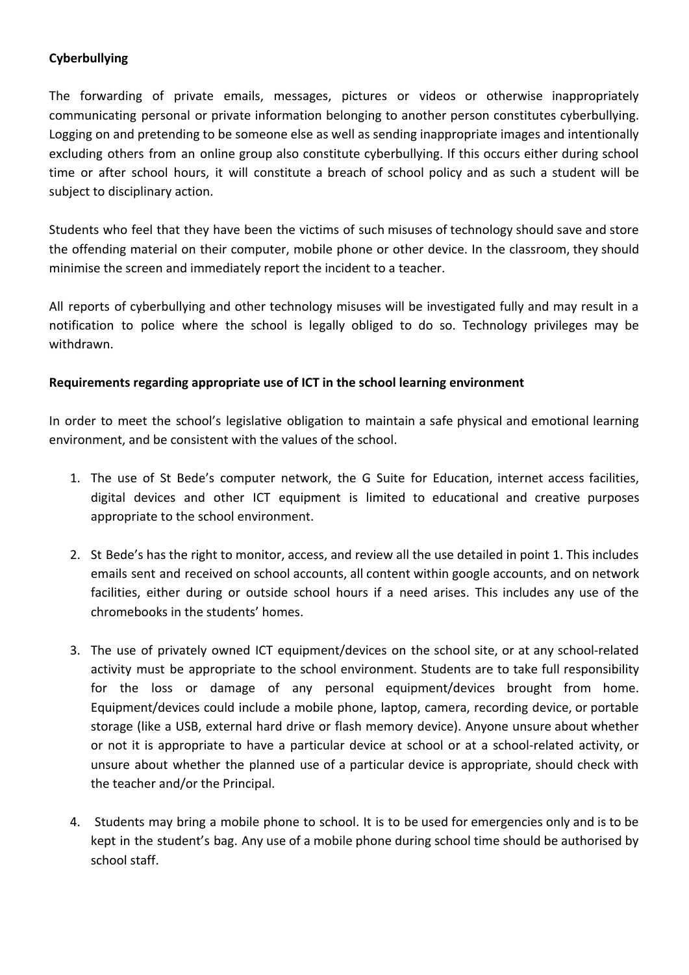# **Cyberbullying**

The forwarding of private emails, messages, pictures or videos or otherwise inappropriately communicating personal or private information belonging to another person constitutes cyberbullying. Logging on and pretending to be someone else as well as sending inappropriate images and intentionally excluding others from an online group also constitute cyberbullying. If this occurs either during school time or after school hours, it will constitute a breach of school policy and as such a student will be subject to disciplinary action.

Students who feel that they have been the victims of such misuses of technology should save and store the offending material on their computer, mobile phone or other device. In the classroom, they should minimise the screen and immediately report the incident to a teacher.

All reports of cyberbullying and other technology misuses will be investigated fully and may result in a notification to police where the school is legally obliged to do so. Technology privileges may be withdrawn.

# **Requirements regarding appropriate use of ICT in the school learning environment**

In order to meet the school's legislative obligation to maintain a safe physical and emotional learning environment, and be consistent with the values of the school.

- 1. The use of St Bede's computer network, the G Suite for Education, internet access facilities, digital devices and other ICT equipment is limited to educational and creative purposes appropriate to the school environment.
- 2. St Bede's has the right to monitor, access, and review all the use detailed in point 1. This includes emails sent and received on school accounts, all content within google accounts, and on network facilities, either during or outside school hours if a need arises. This includes any use of the chromebooks in the students' homes.
- 3. The use of privately owned ICT equipment/devices on the school site, or at any school-related activity must be appropriate to the school environment. Students are to take full responsibility for the loss or damage of any personal equipment/devices brought from home. Equipment/devices could include a mobile phone, laptop, camera, recording device, or portable storage (like a USB, external hard drive or flash memory device). Anyone unsure about whether or not it is appropriate to have a particular device at school or at a school-related activity, or unsure about whether the planned use of a particular device is appropriate, should check with the teacher and/or the Principal.
- 4. Students may bring a mobile phone to school. It is to be used for emergencies only and is to be kept in the student's bag. Any use of a mobile phone during school time should be authorised by school staff.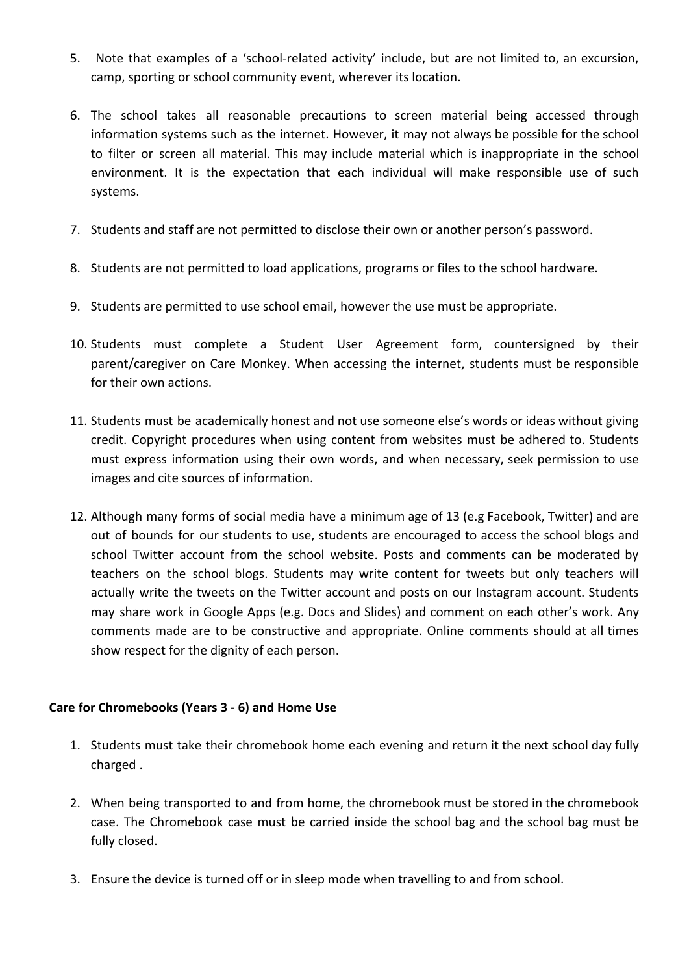- 5. Note that examples of a 'school-related activity' include, but are not limited to, an excursion, camp, sporting or school community event, wherever its location.
- 6. The school takes all reasonable precautions to screen material being accessed through information systems such as the internet. However, it may not always be possible for the school to filter or screen all material. This may include material which is inappropriate in the school environment. It is the expectation that each individual will make responsible use of such systems.
- 7. Students and staff are not permitted to disclose their own or another person's password.
- 8. Students are not permitted to load applications, programs or files to the school hardware.
- 9. Students are permitted to use school email, however the use must be appropriate.
- 10. Students must complete a Student User Agreement form, countersigned by their parent/caregiver on Care Monkey. When accessing the internet, students must be responsible for their own actions.
- 11. Students must be academically honest and not use someone else's words or ideas without giving credit. Copyright procedures when using content from websites must be adhered to. Students must express information using their own words, and when necessary, seek permission to use images and cite sources of information.
- 12. Although many forms of social media have a minimum age of 13 (e.g Facebook, Twitter) and are out of bounds for our students to use, students are encouraged to access the school blogs and school Twitter account from the school website. Posts and comments can be moderated by teachers on the school blogs. Students may write content for tweets but only teachers will actually write the tweets on the Twitter account and posts on our Instagram account. Students may share work in Google Apps (e.g. Docs and Slides) and comment on each other's work. Any comments made are to be constructive and appropriate. Online comments should at all times show respect for the dignity of each person.

## **Care for Chromebooks (Years 3 - 6) and Home Use**

- 1. Students must take their chromebook home each evening and return it the next school day fully charged .
- 2. When being transported to and from home, the chromebook must be stored in the chromebook case. The Chromebook case must be carried inside the school bag and the school bag must be fully closed.
- 3. Ensure the device is turned off or in sleep mode when travelling to and from school.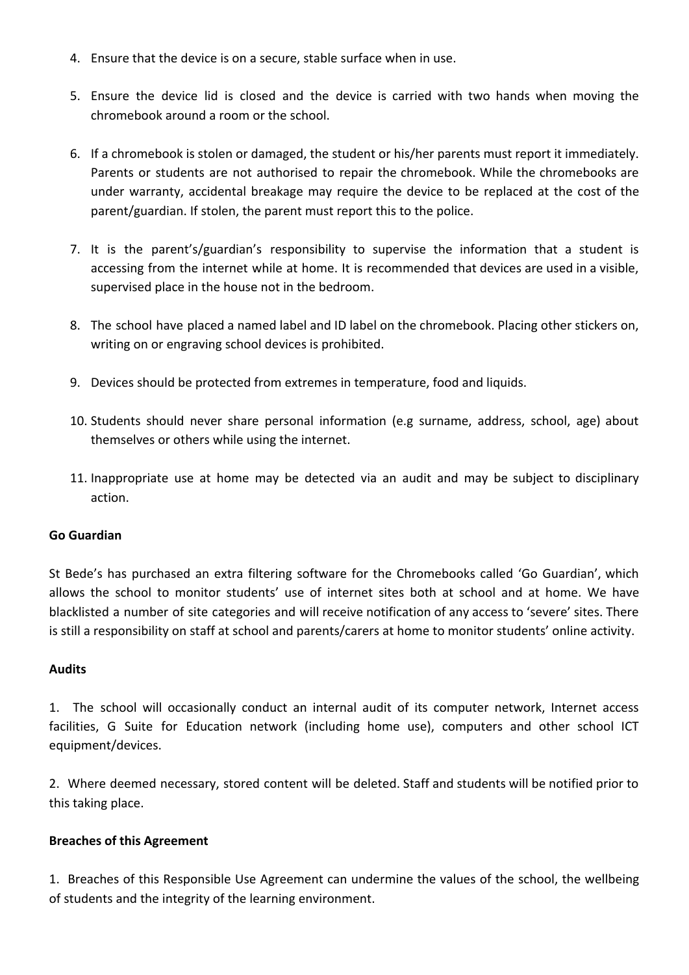- 4. Ensure that the device is on a secure, stable surface when in use.
- 5. Ensure the device lid is closed and the device is carried with two hands when moving the chromebook around a room or the school.
- 6. If a chromebook is stolen or damaged, the student or his/her parents must report it immediately. Parents or students are not authorised to repair the chromebook. While the chromebooks are under warranty, accidental breakage may require the device to be replaced at the cost of the parent/guardian. If stolen, the parent must report this to the police.
- 7. It is the parent's/guardian's responsibility to supervise the information that a student is accessing from the internet while at home. It is recommended that devices are used in a visible, supervised place in the house not in the bedroom.
- 8. The school have placed a named label and ID label on the chromebook. Placing other stickers on, writing on or engraving school devices is prohibited.
- 9. Devices should be protected from extremes in temperature, food and liquids.
- 10. Students should never share personal information (e.g surname, address, school, age) about themselves or others while using the internet.
- 11. Inappropriate use at home may be detected via an audit and may be subject to disciplinary action.

#### **Go Guardian**

St Bede's has purchased an extra filtering software for the Chromebooks called 'Go Guardian', which allows the school to monitor students' use of internet sites both at school and at home. We have blacklisted a number of site categories and will receive notification of any access to 'severe' sites. There is still a responsibility on staff at school and parents/carers at home to monitor students' online activity.

#### **Audits**

1. The school will occasionally conduct an internal audit of its computer network, Internet access facilities, G Suite for Education network (including home use), computers and other school ICT equipment/devices.

2. Where deemed necessary, stored content will be deleted. Staff and students will be notified prior to this taking place.

#### **Breaches of this Agreement**

1. Breaches of this Responsible Use Agreement can undermine the values of the school, the wellbeing of students and the integrity of the learning environment.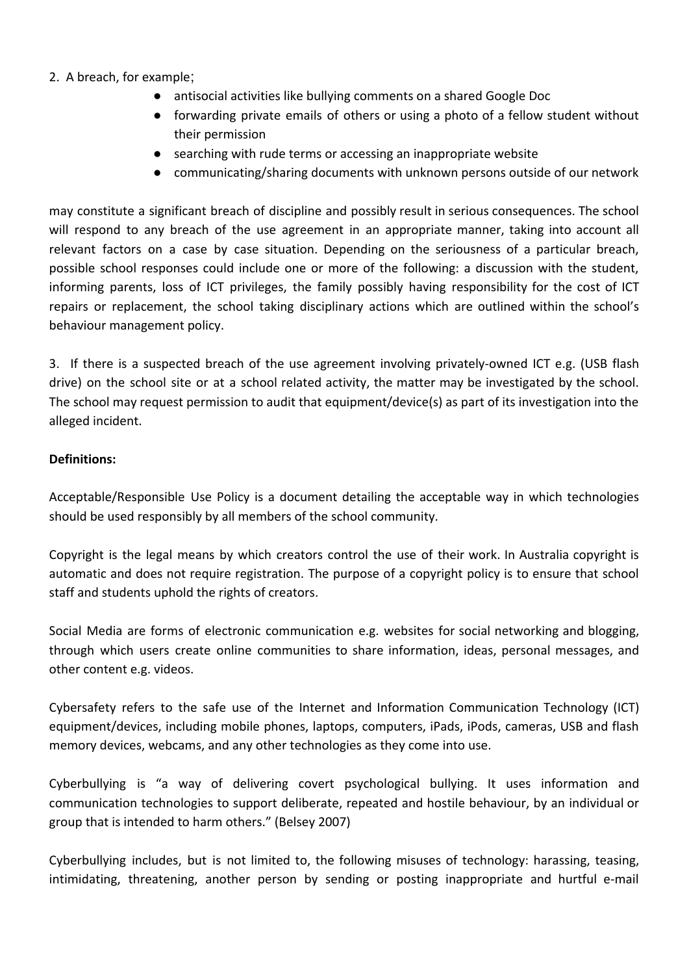## 2. A breach, for example;

- antisocial activities like bullying comments on a shared Google Doc
- forwarding private emails of others or using a photo of a fellow student without their permission
- searching with rude terms or accessing an inappropriate website
- communicating/sharing documents with unknown persons outside of our network

may constitute a significant breach of discipline and possibly result in serious consequences. The school will respond to any breach of the use agreement in an appropriate manner, taking into account all relevant factors on a case by case situation. Depending on the seriousness of a particular breach, possible school responses could include one or more of the following: a discussion with the student, informing parents, loss of ICT privileges, the family possibly having responsibility for the cost of ICT repairs or replacement, the school taking disciplinary actions which are outlined within the school's behaviour management policy.

3. If there is a suspected breach of the use agreement involving privately-owned ICT e.g. (USB flash drive) on the school site or at a school related activity, the matter may be investigated by the school. The school may request permission to audit that equipment/device(s) as part of its investigation into the alleged incident.

## **Definitions:**

Acceptable/Responsible Use Policy is a document detailing the acceptable way in which technologies should be used responsibly by all members of the school community.

Copyright is the legal means by which creators control the use of their work. In Australia copyright is automatic and does not require registration. The purpose of a copyright policy is to ensure that school staff and students uphold the rights of creators.

Social Media are forms of electronic communication e.g. websites for social networking and blogging, through which users create online communities to share information, ideas, personal messages, and other content e.g. videos.

Cybersafety refers to the safe use of the Internet and Information Communication Technology (ICT) equipment/devices, including mobile phones, laptops, computers, iPads, iPods, cameras, USB and flash memory devices, webcams, and any other technologies as they come into use.

Cyberbullying is "a way of delivering covert psychological bullying. It uses information and communication technologies to support deliberate, repeated and hostile behaviour, by an individual or group that is intended to harm others." (Belsey 2007)

Cyberbullying includes, but is not limited to, the following misuses of technology: harassing, teasing, intimidating, threatening, another person by sending or posting inappropriate and hurtful e-mail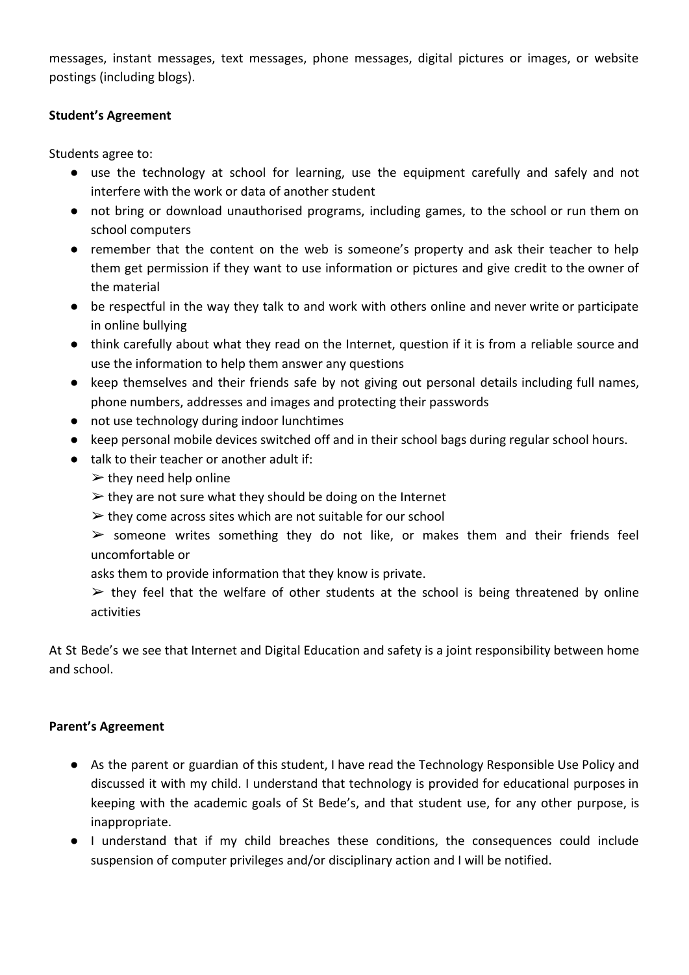messages, instant messages, text messages, phone messages, digital pictures or images, or website postings (including blogs).

## **Student's Agreement**

Students agree to:

- use the technology at school for learning, use the equipment carefully and safely and not interfere with the work or data of another student
- not bring or download unauthorised programs, including games, to the school or run them on school computers
- remember that the content on the web is someone's property and ask their teacher to help them get permission if they want to use information or pictures and give credit to the owner of the material
- be respectful in the way they talk to and work with others online and never write or participate in online bullying
- think carefully about what they read on the Internet, question if it is from a reliable source and use the information to help them answer any questions
- keep themselves and their friends safe by not giving out personal details including full names, phone numbers, addresses and images and protecting their passwords
- not use technology during indoor lunchtimes
- keep personal mobile devices switched off and in their school bags during regular school hours.
- talk to their teacher or another adult if:
	- $\triangleright$  they need help online
	- $\triangleright$  they are not sure what they should be doing on the Internet
	- $\triangleright$  they come across sites which are not suitable for our school

 $\triangleright$  someone writes something they do not like, or makes them and their friends feel uncomfortable or

asks them to provide information that they know is private.

 $\triangleright$  they feel that the welfare of other students at the school is being threatened by online activities

At St Bede's we see that Internet and Digital Education and safety is a joint responsibility between home and school.

## **Parent's Agreement**

- As the parent or guardian of this student, I have read the Technology Responsible Use Policy and discussed it with my child. I understand that technology is provided for educational purposes in keeping with the academic goals of St Bede's, and that student use, for any other purpose, is inappropriate.
- I understand that if my child breaches these conditions, the consequences could include suspension of computer privileges and/or disciplinary action and I will be notified.